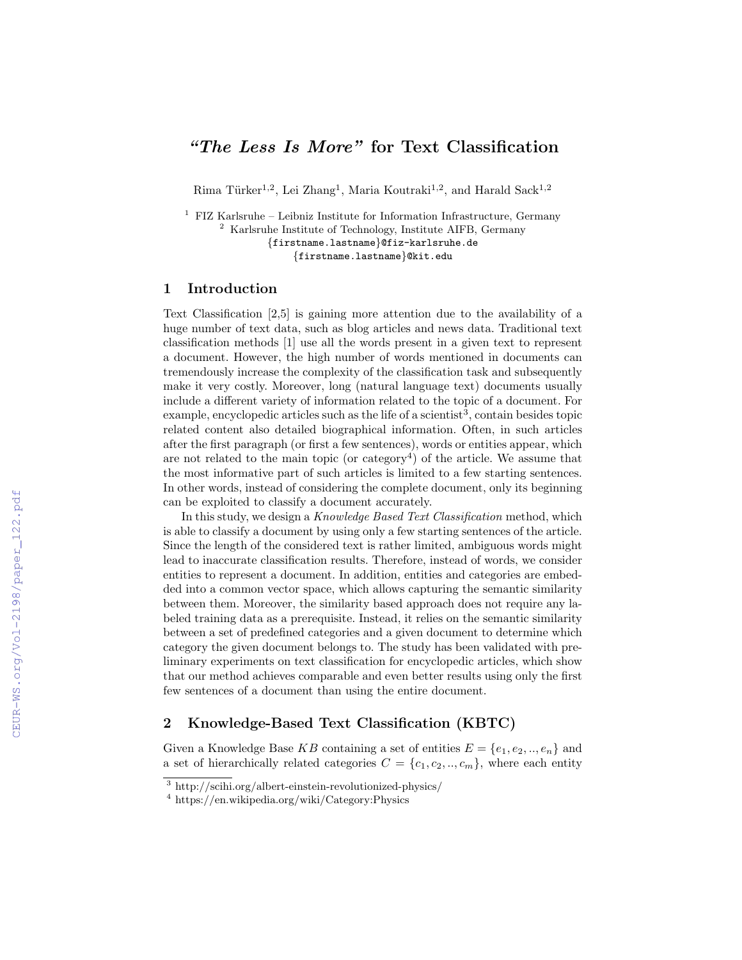# "The Less Is More" for Text Classification

Rima Türker<sup>1,2</sup>, Lei Zhang<sup>1</sup>, Maria Koutraki<sup>1,2</sup>, and Harald Sack<sup>1,2</sup>

<sup>1</sup> FIZ Karlsruhe – Leibniz Institute for Information Infrastructure, Germany <sup>2</sup> Karlsruhe Institute of Technology, Institute AIFB, Germany {firstname.lastname}@fiz-karlsruhe.de {firstname.lastname}@kit.edu

## 1 Introduction

Text Classification [2,5] is gaining more attention due to the availability of a huge number of text data, such as blog articles and news data. Traditional text classification methods [1] use all the words present in a given text to represent a document. However, the high number of words mentioned in documents can tremendously increase the complexity of the classification task and subsequently make it very costly. Moreover, long (natural language text) documents usually include a different variety of information related to the topic of a document. For example, encyclopedic articles such as the life of a scientist<sup>3</sup>, contain besides topic related content also detailed biographical information. Often, in such articles after the first paragraph (or first a few sentences), words or entities appear, which are not related to the main topic (or category<sup>4</sup>) of the article. We assume that the most informative part of such articles is limited to a few starting sentences. In other words, instead of considering the complete document, only its beginning can be exploited to classify a document accurately.

In this study, we design a *Knowledge Based Text Classification* method, which is able to classify a document by using only a few starting sentences of the article. Since the length of the considered text is rather limited, ambiguous words might lead to inaccurate classification results. Therefore, instead of words, we consider entities to represent a document. In addition, entities and categories are embedded into a common vector space, which allows capturing the semantic similarity between them. Moreover, the similarity based approach does not require any labeled training data as a prerequisite. Instead, it relies on the semantic similarity between a set of predefined categories and a given document to determine which category the given document belongs to. The study has been validated with preliminary experiments on text classification for encyclopedic articles, which show that our method achieves comparable and even better results using only the first few sentences of a document than using the entire document.

## 2 Knowledge-Based Text Classification (KBTC)

Given a Knowledge Base KB containing a set of entities  $E = \{e_1, e_2, ..., e_n\}$  and a set of hierarchically related categories  $C = \{c_1, c_2, ..., c_m\}$ , where each entity

<sup>3</sup> http://scihi.org/albert-einstein-revolutionized-physics/

<sup>4</sup> https://en.wikipedia.org/wiki/Category:Physics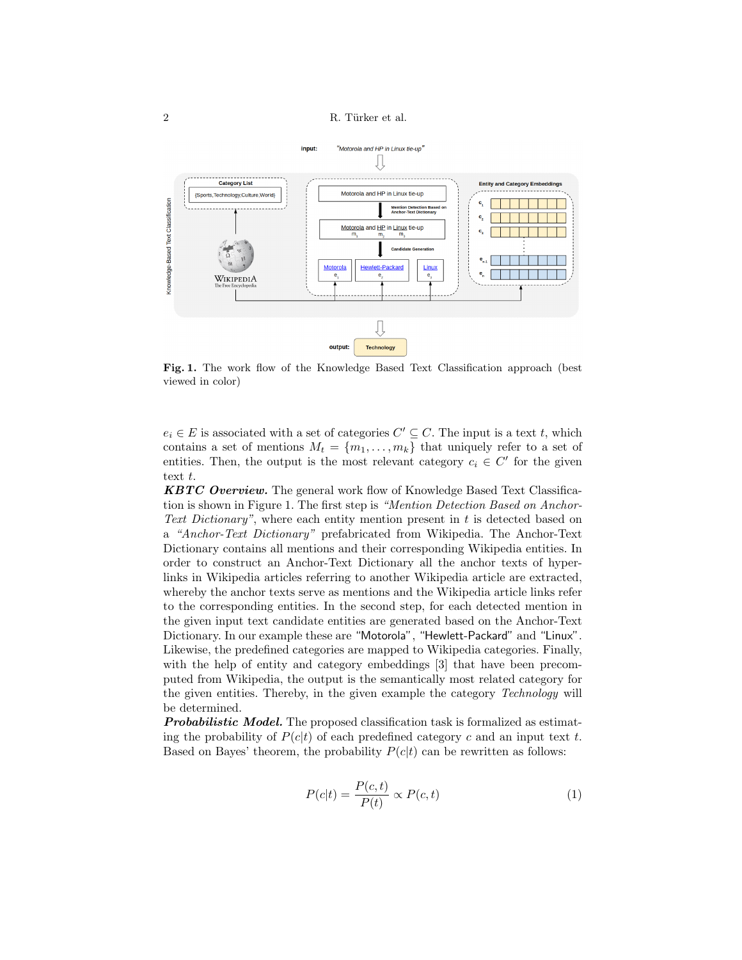2 R. Türker et al.



Fig. 1. The work flow of the Knowledge Based Text Classification approach (best viewed in color)

 $e_i \in E$  is associated with a set of categories  $C' \subseteq C$ . The input is a text t, which contains a set of mentions  $M_t = \{m_1, \ldots, m_k\}$  that uniquely refer to a set of entities. Then, the output is the most relevant category  $c_i \in C'$  for the given text t.

**KBTC Overview.** The general work flow of Knowledge Based Text Classification is shown in Figure 1. The first step is "Mention Detection Based on Anchor-Text Dictionary", where each entity mention present in  $t$  is detected based on a "Anchor-Text Dictionary" prefabricated from Wikipedia. The Anchor-Text Dictionary contains all mentions and their corresponding Wikipedia entities. In order to construct an Anchor-Text Dictionary all the anchor texts of hyperlinks in Wikipedia articles referring to another Wikipedia article are extracted, whereby the anchor texts serve as mentions and the Wikipedia article links refer to the corresponding entities. In the second step, for each detected mention in the given input text candidate entities are generated based on the Anchor-Text Dictionary. In our example these are "Motorola", "Hewlett-Packard" and "Linux". Likewise, the predefined categories are mapped to Wikipedia categories. Finally, with the help of entity and category embeddings [3] that have been precomputed from Wikipedia, the output is the semantically most related category for the given entities. Thereby, in the given example the category Technology will be determined.

**Probabilistic Model.** The proposed classification task is formalized as estimating the probability of  $P(c|t)$  of each predefined category c and an input text t. Based on Bayes' theorem, the probability  $P(c|t)$  can be rewritten as follows:

$$
P(c|t) = \frac{P(c,t)}{P(t)} \propto P(c,t)
$$
\n(1)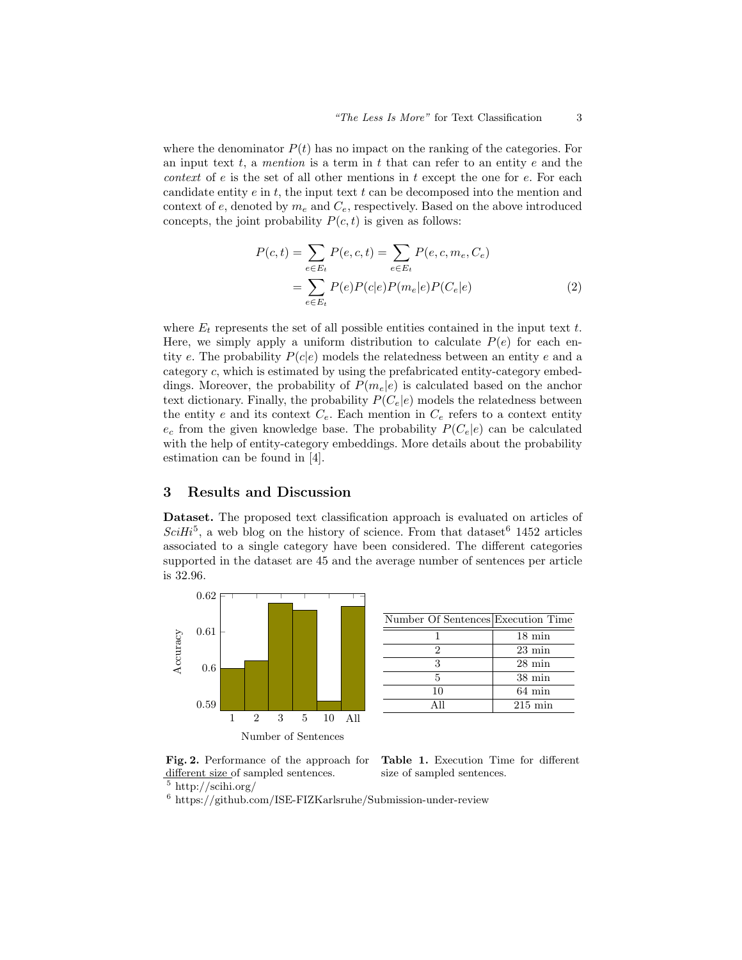where the denominator  $P(t)$  has no impact on the ranking of the categories. For an input text  $t$ , a mention is a term in  $t$  that can refer to an entity  $e$  and the *context* of  $e$  is the set of all other mentions in  $t$  except the one for  $e$ . For each candidate entity  $e$  in  $t$ , the input text  $t$  can be decomposed into the mention and context of  $e$ , denoted by  $m_e$  and  $C_e$ , respectively. Based on the above introduced concepts, the joint probability  $P(c, t)$  is given as follows:

$$
P(c,t) = \sum_{e \in E_t} P(e,c,t) = \sum_{e \in E_t} P(e,c,m_e,C_e)
$$
  
= 
$$
\sum_{e \in E_t} P(e)P(c|e)P(m_e|e)P(C_e|e)
$$
 (2)

where  $E_t$  represents the set of all possible entities contained in the input text t. Here, we simply apply a uniform distribution to calculate  $P(e)$  for each entity e. The probability  $P(c|e)$  models the relatedness between an entity e and a category c, which is estimated by using the prefabricated entity-category embeddings. Moreover, the probability of  $P(m_e|e)$  is calculated based on the anchor text dictionary. Finally, the probability  $P(C_e|e)$  models the relatedness between the entity e and its context  $C_e$ . Each mention in  $C_e$  refers to a context entity  $e_c$  from the given knowledge base. The probability  $P(C_e|e)$  can be calculated with the help of entity-category embeddings. More details about the probability estimation can be found in [4].

#### 3 Results and Discussion

Dataset. The proposed text classification approach is evaluated on articles of  $SciHi^5$ , a web blog on the history of science. From that dataset <sup>6</sup> 1452 articles associated to a single category have been considered. The different categories supported in the dataset are 45 and the average number of sentences per article is 32.96.



| Number Of Sentences Execution Time |                   |
|------------------------------------|-------------------|
|                                    | $18 \text{ min}$  |
|                                    | $23 \text{ min}$  |
| 3                                  | $28 \text{ min}$  |
| 5                                  | $38 \text{ min}$  |
| 10                                 | $64 \text{ min}$  |
| Δ 11                               | $215 \text{ min}$ |

Fig. 2. Performance of the approach for different size of sampled sentences.



Table 1. Execution Time for different size of sampled sentences.

<sup>5</sup> http://scihi.org/

 $6$  https://github.com/ISE-FIZKarlsruhe/Submission-under-review